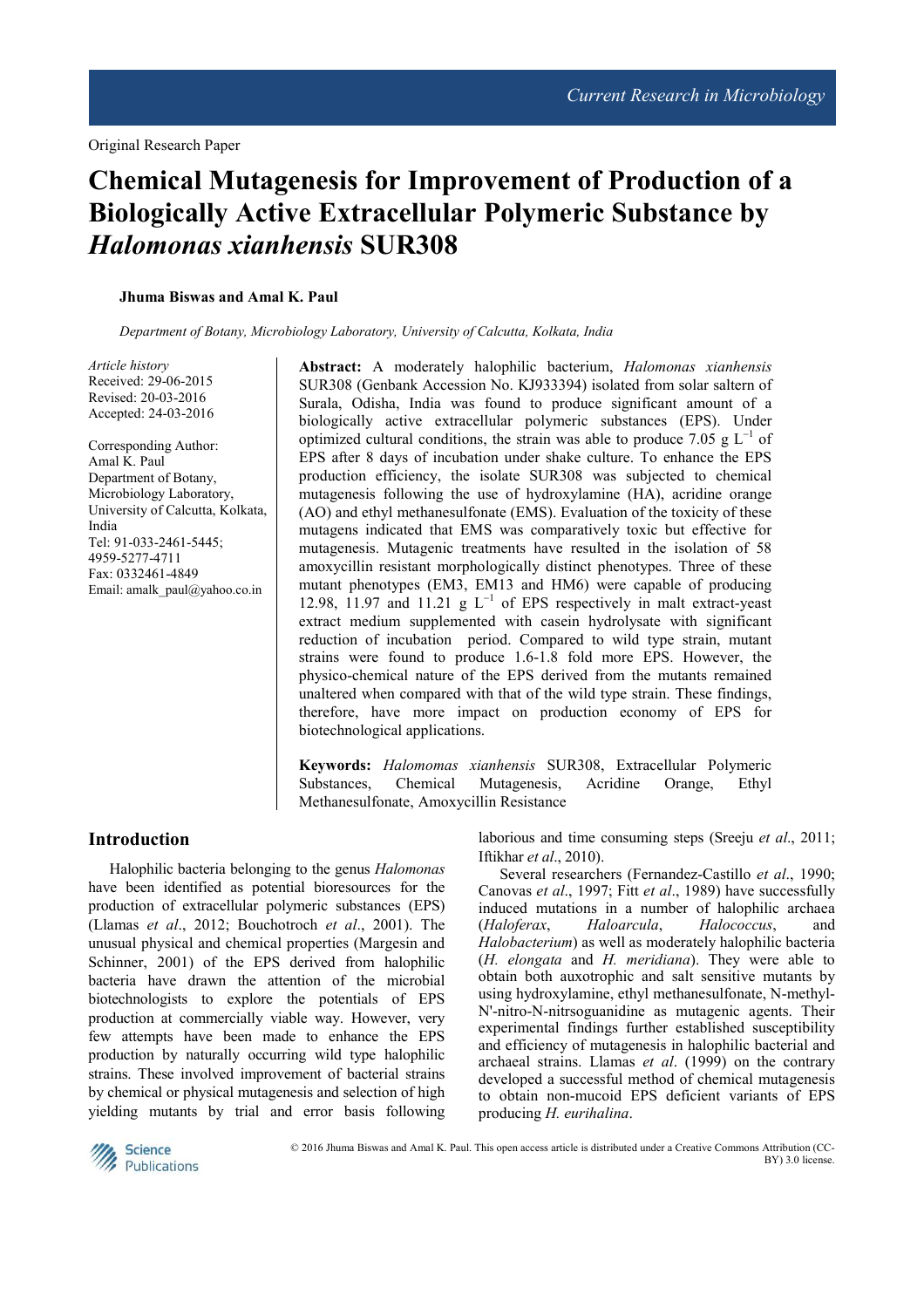# **Chemical Mutagenesis for Improvement of Production of a Biologically Active Extracellular Polymeric Substance by**  *Halomonas xianhensis* **SUR308**

**Jhuma Biswas and Amal K. Paul** 

*Department of Botany, Microbiology Laboratory, University of Calcutta, Kolkata, India*

*Article history*  Received: 29-06-2015 Revised: 20-03-2016 Accepted: 24-03-2016

Corresponding Author: Amal K. Paul Department of Botany, Microbiology Laboratory, University of Calcutta, Kolkata, India Tel: 91-033-2461-5445; 4959-5277-4711 Fax: 0332461-4849 Email: amalk\_paul@yahoo.co.in

**Abstract:** A moderately halophilic bacterium, *Halomonas xianhensis*  SUR308 (Genbank Accession No. KJ933394) isolated from solar saltern of Surala, Odisha, India was found to produce significant amount of a biologically active extracellular polymeric substances (EPS). Under optimized cultural conditions, the strain was able to produce 7.05  $g L^{-1}$  of EPS after 8 days of incubation under shake culture. To enhance the EPS production efficiency, the isolate SUR308 was subjected to chemical mutagenesis following the use of hydroxylamine (HA), acridine orange (AO) and ethyl methanesulfonate (EMS). Evaluation of the toxicity of these mutagens indicated that EMS was comparatively toxic but effective for mutagenesis. Mutagenic treatments have resulted in the isolation of 58 amoxycillin resistant morphologically distinct phenotypes. Three of these mutant phenotypes (EM3, EM13 and HM6) were capable of producing 12.98, 11.97 and 11.21 g L<sup>−</sup><sup>1</sup> of EPS respectively in malt extract-yeast extract medium supplemented with casein hydrolysate with significant reduction of incubation period. Compared to wild type strain, mutant strains were found to produce 1.6-1.8 fold more EPS. However, the physico-chemical nature of the EPS derived from the mutants remained unaltered when compared with that of the wild type strain. These findings, therefore, have more impact on production economy of EPS for biotechnological applications.

**Keywords:** *Halomomas xianhensis* SUR308, Extracellular Polymeric Substances, Chemical Mutagenesis, Acridine Orange, Ethyl Methanesulfonate, Amoxycillin Resistance

# **Introduction**

Halophilic bacteria belonging to the genus *Halomonas* have been identified as potential bioresources for the production of extracellular polymeric substances (EPS) (Llamas *et al*., 2012; Bouchotroch *et al*., 2001). The unusual physical and chemical properties (Margesin and Schinner, 2001) of the EPS derived from halophilic bacteria have drawn the attention of the microbial biotechnologists to explore the potentials of EPS production at commercially viable way. However, very few attempts have been made to enhance the EPS production by naturally occurring wild type halophilic strains. These involved improvement of bacterial strains by chemical or physical mutagenesis and selection of high yielding mutants by trial and error basis following

laborious and time consuming steps (Sreeju *et al*., 2011; Iftikhar *et al*., 2010).

Several researchers (Fernandez-Castillo *et al*., 1990; Canovas *et al*., 1997; Fitt *et al*., 1989) have successfully induced mutations in a number of halophilic archaea<br>(Haloferax, Haloarcula, Halococcus, and (*Haloferax*, *Haloarcula*, *Halococcus*, and *Halobacterium*) as well as moderately halophilic bacteria (*H. elongata* and *H. meridiana*). They were able to obtain both auxotrophic and salt sensitive mutants by using hydroxylamine, ethyl methanesulfonate, N-methyl-N'-nitro-N-nitrsoguanidine as mutagenic agents. Their experimental findings further established susceptibility and efficiency of mutagenesis in halophilic bacterial and archaeal strains. Llamas *et al*. (1999) on the contrary developed a successful method of chemical mutagenesis to obtain non-mucoid EPS deficient variants of EPS producing *H. eurihalina*.



© 2016 Jhuma Biswas and Amal K. Paul. This open access article is distributed under a Creative Commons Attribution (CC-BY) 3.0 license.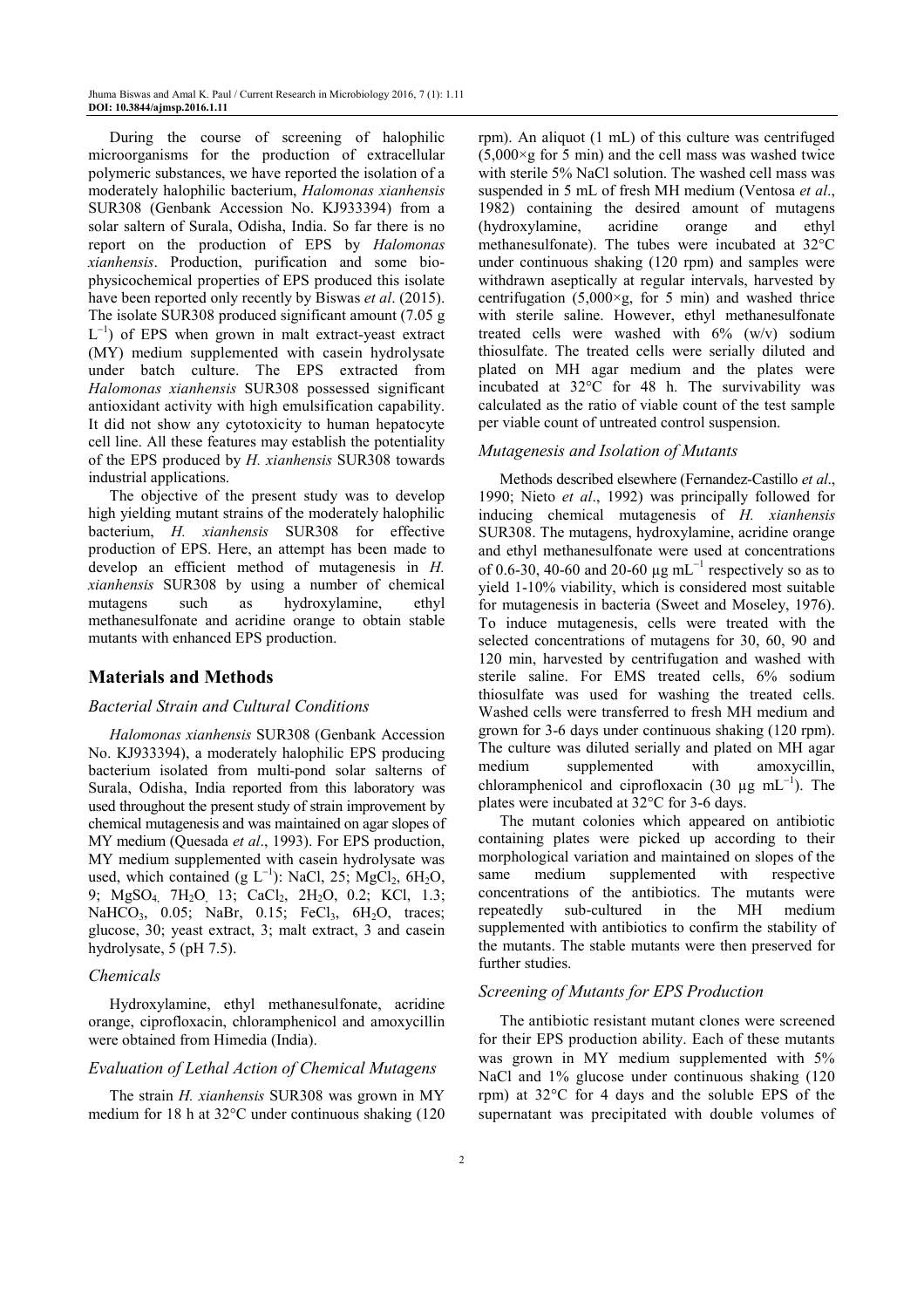During the course of screening of halophilic microorganisms for the production of extracellular polymeric substances, we have reported the isolation of a moderately halophilic bacterium, *Halomonas xianhensis*  SUR308 (Genbank Accession No. KJ933394) from a solar saltern of Surala, Odisha, India. So far there is no report on the production of EPS by *Halomonas xianhensis*. Production, purification and some biophysicochemical properties of EPS produced this isolate have been reported only recently by Biswas *et al*. (2015). The isolate SUR308 produced significant amount (7.05 g L<sup>-1</sup>) of EPS when grown in malt extract-yeast extract (MY) medium supplemented with casein hydrolysate under batch culture. The EPS extracted from *Halomonas xianhensis* SUR308 possessed significant antioxidant activity with high emulsification capability. It did not show any cytotoxicity to human hepatocyte cell line. All these features may establish the potentiality of the EPS produced by *H. xianhensis* SUR308 towards industrial applications.

The objective of the present study was to develop high yielding mutant strains of the moderately halophilic bacterium, *H. xianhensis* SUR308 for effective production of EPS. Here, an attempt has been made to develop an efficient method of mutagenesis in *H. xianhensis* SUR308 by using a number of chemical mutagens such as hydroxylamine, ethyl methanesulfonate and acridine orange to obtain stable mutants with enhanced EPS production.

# **Materials and Methods**

#### *Bacterial Strain and Cultural Conditions*

*Halomonas xianhensis* SUR308 (Genbank Accession No. KJ933394), a moderately halophilic EPS producing bacterium isolated from multi-pond solar salterns of Surala, Odisha, India reported from this laboratory was used throughout the present study of strain improvement by chemical mutagenesis and was maintained on agar slopes of MY medium (Quesada *et al*., 1993). For EPS production, MY medium supplemented with casein hydrolysate was used, which contained (g  $L^{-1}$ ): NaCl, 25; MgCl<sub>2</sub>, 6H<sub>2</sub>O, 9; MgSO<sub>4</sub> 7H<sub>2</sub>O 13; CaCl<sub>2</sub>, 2H<sub>2</sub>O, 0.2; KCl, 1.3; NaHCO<sub>3</sub>,  $0.05$ ; NaBr,  $0.15$ ; FeCl<sub>3</sub>,  $6H<sub>2</sub>O$ , traces; glucose, 30; yeast extract, 3; malt extract, 3 and casein hydrolysate, 5 (pH 7.5).

# *Chemicals*

Hydroxylamine, ethyl methanesulfonate, acridine orange, ciprofloxacin, chloramphenicol and amoxycillin were obtained from Himedia (India).

# *Evaluation of Lethal Action of Chemical Mutagens*

The strain *H. xianhensis* SUR308 was grown in MY medium for 18 h at 32°C under continuous shaking (120 rpm). An aliquot (1 mL) of this culture was centrifuged  $(5,000 \times g)$  for 5 min) and the cell mass was washed twice with sterile 5% NaCl solution. The washed cell mass was suspended in 5 mL of fresh MH medium (Ventosa *et al*., 1982) containing the desired amount of mutagens (hydroxylamine, acridine orange and ethyl methanesulfonate). The tubes were incubated at 32°C under continuous shaking (120 rpm) and samples were withdrawn aseptically at regular intervals, harvested by centrifugation  $(5,000 \times g,$  for 5 min) and washed thrice with sterile saline. However, ethyl methanesulfonate treated cells were washed with 6% (w/v) sodium thiosulfate. The treated cells were serially diluted and plated on MH agar medium and the plates were incubated at 32°C for 48 h. The survivability was calculated as the ratio of viable count of the test sample per viable count of untreated control suspension.

#### *Mutagenesis and Isolation of Mutants*

Methods described elsewhere (Fernandez-Castillo *et al*., 1990; Nieto *et al*., 1992) was principally followed for inducing chemical mutagenesis of *H. xianhensis* SUR308. The mutagens, hydroxylamine, acridine orange and ethyl methanesulfonate were used at concentrations of 0.6-30, 40-60 and 20-60  $\mu$ g mL<sup>-1</sup> respectively so as to yield 1-10% viability, which is considered most suitable for mutagenesis in bacteria (Sweet and Moseley, 1976). To induce mutagenesis, cells were treated with the selected concentrations of mutagens for 30, 60, 90 and 120 min, harvested by centrifugation and washed with sterile saline. For EMS treated cells, 6% sodium thiosulfate was used for washing the treated cells. Washed cells were transferred to fresh MH medium and grown for 3-6 days under continuous shaking (120 rpm). The culture was diluted serially and plated on MH agar medium supplemented with amoxycillin, chloramphenicol and ciprofloxacin (30  $\mu$ g mL<sup>-1</sup>). The plates were incubated at 32°C for 3-6 days.

The mutant colonies which appeared on antibiotic containing plates were picked up according to their morphological variation and maintained on slopes of the same medium supplemented with respective concentrations of the antibiotics. The mutants were repeatedly sub-cultured in the MH medium supplemented with antibiotics to confirm the stability of the mutants. The stable mutants were then preserved for further studies.

# *Screening of Mutants for EPS Production*

The antibiotic resistant mutant clones were screened for their EPS production ability. Each of these mutants was grown in MY medium supplemented with 5% NaCl and 1% glucose under continuous shaking (120 rpm) at 32°C for 4 days and the soluble EPS of the supernatant was precipitated with double volumes of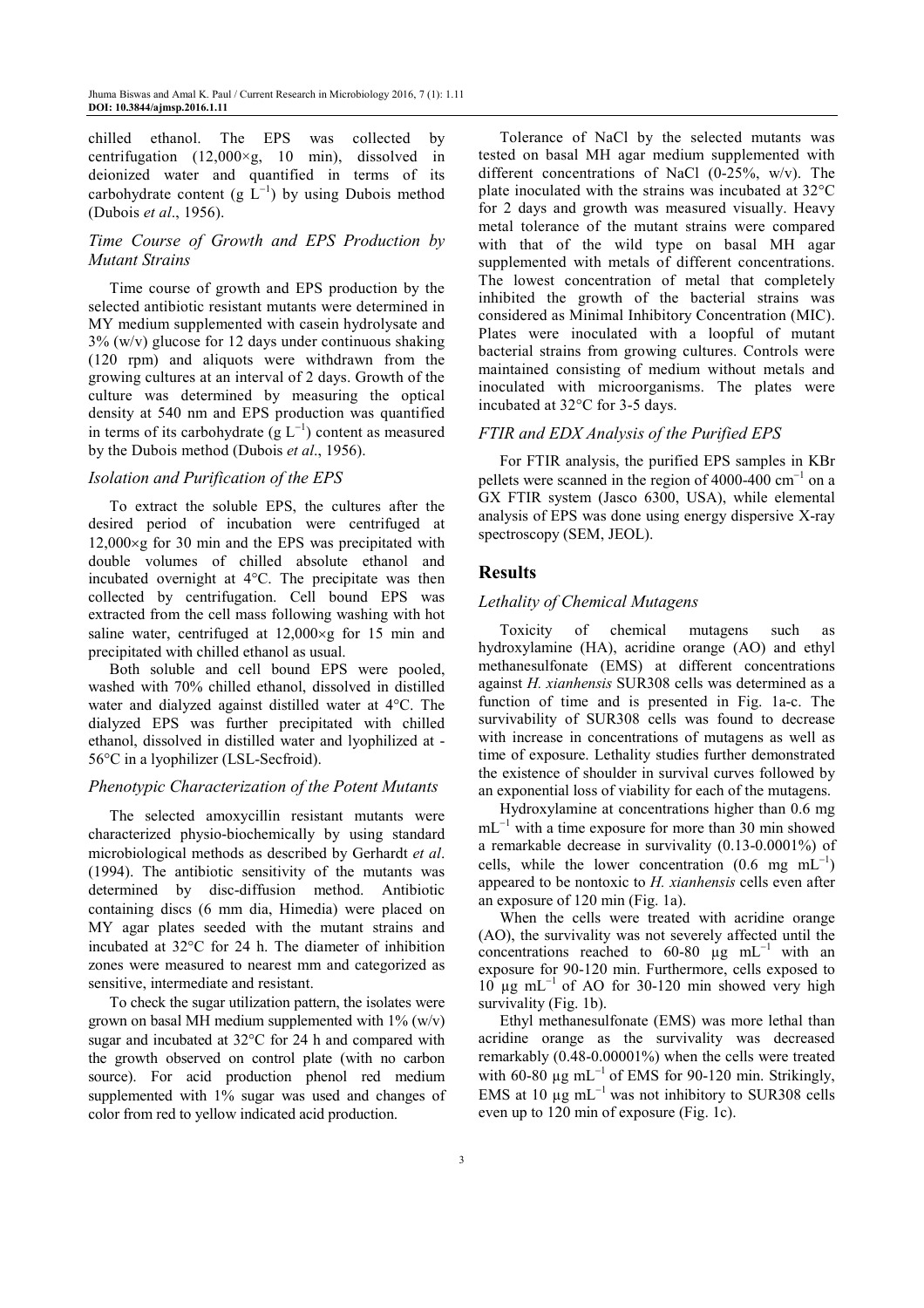chilled ethanol. The EPS was collected by centrifugation  $(12,000\times g, 10 \text{ min})$ , dissolved in deionized water and quantified in terms of its carbohydrate content (g  $\overline{L}^{-1}$ ) by using Dubois method (Dubois *et al*., 1956).

# *Time Course of Growth and EPS Production by Mutant Strains*

Time course of growth and EPS production by the selected antibiotic resistant mutants were determined in MY medium supplemented with casein hydrolysate and  $3\%$  (w/v) glucose for 12 days under continuous shaking (120 rpm) and aliquots were withdrawn from the growing cultures at an interval of 2 days. Growth of the culture was determined by measuring the optical density at 540 nm and EPS production was quantified in terms of its carbohydrate  $(g L^{-1})$  content as measured by the Dubois method (Dubois *et al*., 1956).

# *Isolation and Purification of the EPS*

To extract the soluble EPS, the cultures after the desired period of incubation were centrifuged at 12,000×g for 30 min and the EPS was precipitated with double volumes of chilled absolute ethanol and incubated overnight at 4°C. The precipitate was then collected by centrifugation. Cell bound EPS was extracted from the cell mass following washing with hot saline water, centrifuged at 12,000×g for 15 min and precipitated with chilled ethanol as usual.

Both soluble and cell bound EPS were pooled, washed with 70% chilled ethanol, dissolved in distilled water and dialyzed against distilled water at 4°C. The dialyzed EPS was further precipitated with chilled ethanol, dissolved in distilled water and lyophilized at - 56°C in a lyophilizer (LSL-Secfroid).

# *Phenotypic Characterization of the Potent Mutants*

The selected amoxycillin resistant mutants were characterized physio-biochemically by using standard microbiological methods as described by Gerhardt *et al*. (1994). The antibiotic sensitivity of the mutants was determined by disc-diffusion method. Antibiotic containing discs (6 mm dia, Himedia) were placed on MY agar plates seeded with the mutant strains and incubated at 32°C for 24 h. The diameter of inhibition zones were measured to nearest mm and categorized as sensitive, intermediate and resistant.

To check the sugar utilization pattern, the isolates were grown on basal MH medium supplemented with  $1\%$  (w/v) sugar and incubated at 32°C for 24 h and compared with the growth observed on control plate (with no carbon source). For acid production phenol red medium supplemented with 1% sugar was used and changes of color from red to yellow indicated acid production.

Tolerance of NaCl by the selected mutants was tested on basal MH agar medium supplemented with different concentrations of NaCl (0-25%, w/v). The plate inoculated with the strains was incubated at 32°C for 2 days and growth was measured visually. Heavy metal tolerance of the mutant strains were compared with that of the wild type on basal MH agar supplemented with metals of different concentrations. The lowest concentration of metal that completely inhibited the growth of the bacterial strains was considered as Minimal Inhibitory Concentration (MIC). Plates were inoculated with a loopful of mutant bacterial strains from growing cultures. Controls were maintained consisting of medium without metals and inoculated with microorganisms. The plates were incubated at 32°C for 3-5 days.

# *FTIR and EDX Analysis of the Purified EPS*

For FTIR analysis, the purified EPS samples in KBr pellets were scanned in the region of 4000-400  $cm^{-1}$  on a GX FTIR system (Jasco 6300, USA), while elemental analysis of EPS was done using energy dispersive X-ray spectroscopy (SEM, JEOL).

# **Results**

# *Lethality of Chemical Mutagens*

Toxicity of chemical mutagens such as hydroxylamine (HA), acridine orange (AO) and ethyl methanesulfonate (EMS) at different concentrations against *H. xianhensis* SUR308 cells was determined as a function of time and is presented in Fig. 1a-c. The survivability of SUR308 cells was found to decrease with increase in concentrations of mutagens as well as time of exposure. Lethality studies further demonstrated the existence of shoulder in survival curves followed by an exponential loss of viability for each of the mutagens.

Hydroxylamine at concentrations higher than 0.6 mg mL<sup>-1</sup> with a time exposure for more than 30 min showed a remarkable decrease in survivality (0.13-0.0001%) of cells, while the lower concentration  $(0.6 \text{ mg } \text{mL}^{-1})$ appeared to be nontoxic to *H. xianhensis* cells even after an exposure of 120 min (Fig. 1a).

When the cells were treated with acridine orange (AO), the survivality was not severely affected until the concentrations reached to 60-80  $\mu$ g mL<sup>-1</sup> with an exposure for 90-120 min. Furthermore, cells exposed to  $10 \mu g$  mL<sup>-1</sup> of AO for 30-120 min showed very high survivality (Fig. 1b).

Ethyl methanesulfonate (EMS) was more lethal than acridine orange as the survivality was decreased remarkably (0.48-0.00001%) when the cells were treated with 60-80  $\mu$ g mL<sup>-1</sup> of EMS for 90-120 min. Strikingly, EMS at 10  $\mu$ g mL<sup>-1</sup> was not inhibitory to SUR308 cells even up to 120 min of exposure (Fig. 1c).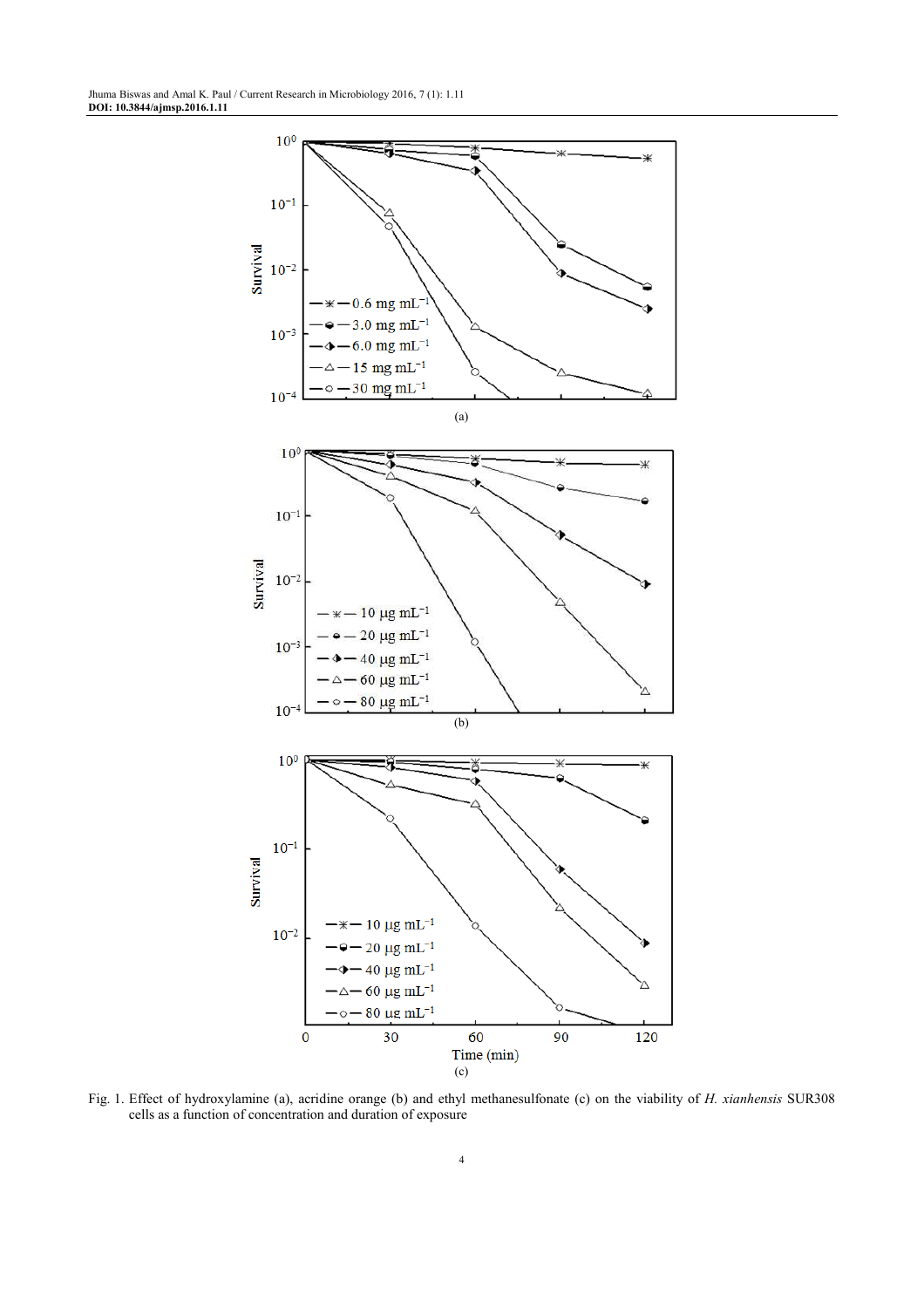

Fig. 1. Effect of hydroxylamine (a), acridine orange (b) and ethyl methanesulfonate (c) on the viability of *H. xianhensis* SUR308 cells as a function of concentration and duration of exposure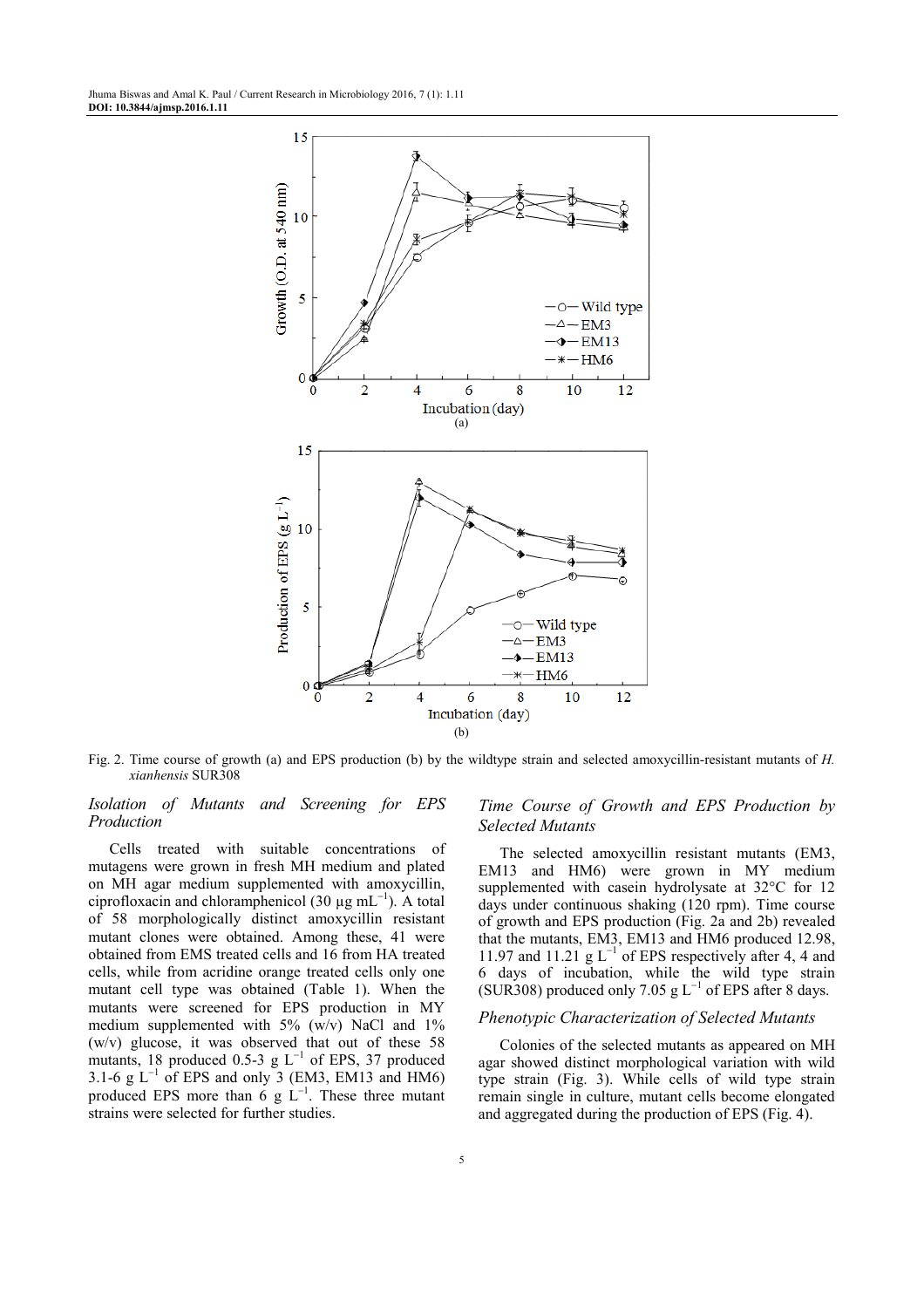

Fig. 2. Time course of growth (a) and EPS production (b) by the wildtype strain and selected amoxycillin-resistant mutants of *H. xianhensis* SUR308

#### *Isolation of Mutants and Screening for EPS Production*

Cells treated with suitable concentrations of mutagens were grown in fresh MH medium and plated on MH agar medium supplemented with amoxycillin, ciprofloxacin and chloramphenicol (30  $\mu$ g mL<sup>-1</sup>). A total of 58 morphologically distinct amoxycillin resistant mutant clones were obtained. Among these, 41 were obtained from EMS treated cells and 16 from HA treated cells, while from acridine orange treated cells only one mutant cell type was obtained (Table 1). When the mutants were screened for EPS production in MY medium supplemented with  $5\%$  (w/v) NaCl and  $1\%$ (w/v) glucose, it was observed that out of these 58 mutants, 18 produced 0.5-3 g  $L^{-1}$  of EPS, 37 produced 3.1-6 g  $L^{-1}$  of EPS and only 3 (EM3, EM13 and HM6) produced EPS more than  $6 \text{ g}$  L<sup>-1</sup>. These three mutant strains were selected for further studies.

# *Time Course of Growth and EPS Production by Selected Mutants*

The selected amoxycillin resistant mutants (EM3, EM13 and HM6) were grown in MY medium supplemented with casein hydrolysate at 32°C for 12 days under continuous shaking (120 rpm). Time course of growth and EPS production (Fig. 2a and 2b) revealed that the mutants, EM3, EM13 and HM6 produced 12.98, 11.97 and 11.21  $g L^{-1}$  of EPS respectively after 4, 4 and 6 days of incubation, while the wild type strain (SUR308) produced only 7.05 g  $L^{-1}$  of EPS after 8 days.

#### *Phenotypic Characterization of Selected Mutants*

Colonies of the selected mutants as appeared on MH agar showed distinct morphological variation with wild type strain (Fig. 3). While cells of wild type strain remain single in culture, mutant cells become elongated and aggregated during the production of EPS (Fig. 4).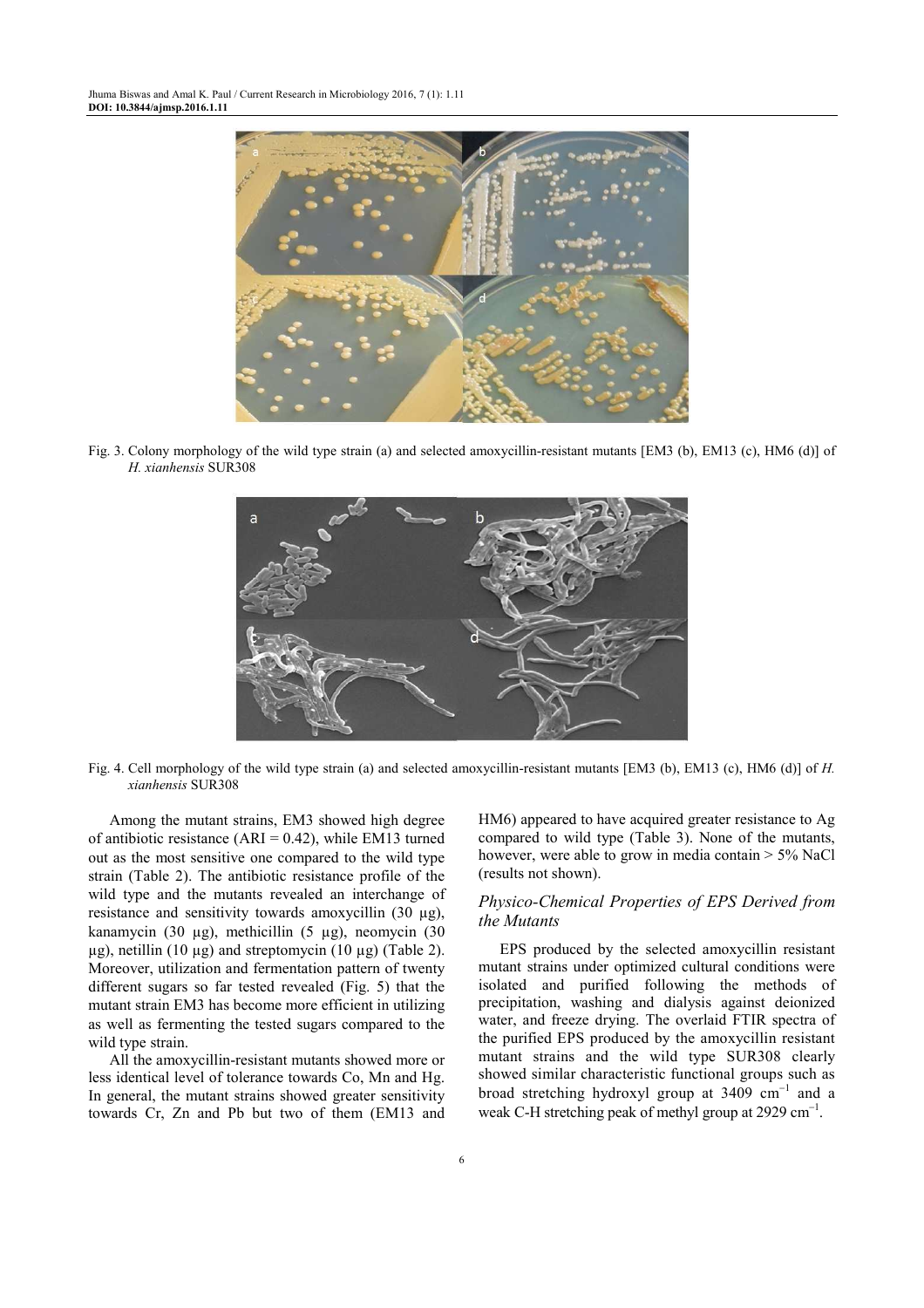Jhuma Biswas and Amal K. Paul / Current Research in Microbiology 2016, 7 (1): 1.11 **DOI: 10.3844/ajmsp.2016.1.11** 



Fig. 3. Colony morphology of the wild type strain (a) and selected amoxycillin-resistant mutants [EM3 (b), EM13 (c), HM6 (d)] of *H. xianhensis* SUR308



Fig. 4. Cell morphology of the wild type strain (a) and selected amoxycillin-resistant mutants [EM3 (b), EM13 (c), HM6 (d)] of *H. xianhensis* SUR308

Among the mutant strains, EM3 showed high degree of antibiotic resistance (ARI =  $0.42$ ), while EM13 turned out as the most sensitive one compared to the wild type strain (Table 2). The antibiotic resistance profile of the wild type and the mutants revealed an interchange of resistance and sensitivity towards amoxycillin (30 µg), kanamycin (30  $\mu$ g), methicillin (5  $\mu$ g), neomycin (30  $\mu$ g), netillin (10  $\mu$ g) and streptomycin (10  $\mu$ g) (Table 2). Moreover, utilization and fermentation pattern of twenty different sugars so far tested revealed (Fig. 5) that the mutant strain EM3 has become more efficient in utilizing as well as fermenting the tested sugars compared to the wild type strain.

All the amoxycillin-resistant mutants showed more or less identical level of tolerance towards Co, Mn and Hg. In general, the mutant strains showed greater sensitivity towards Cr, Zn and Pb but two of them (EM13 and HM6) appeared to have acquired greater resistance to Ag compared to wild type (Table 3). None of the mutants, however, were able to grow in media contain  $> 5\%$  NaCl (results not shown).

# *Physico-Chemical Properties of EPS Derived from the Mutants*

EPS produced by the selected amoxycillin resistant mutant strains under optimized cultural conditions were isolated and purified following the methods of precipitation, washing and dialysis against deionized water, and freeze drying. The overlaid FTIR spectra of the purified EPS produced by the amoxycillin resistant mutant strains and the wild type SUR308 clearly showed similar characteristic functional groups such as broad stretching hydroxyl group at 3409 cm<sup>−</sup><sup>1</sup> and a weak C-H stretching peak of methyl group at 2929 cm<sup>-1</sup>.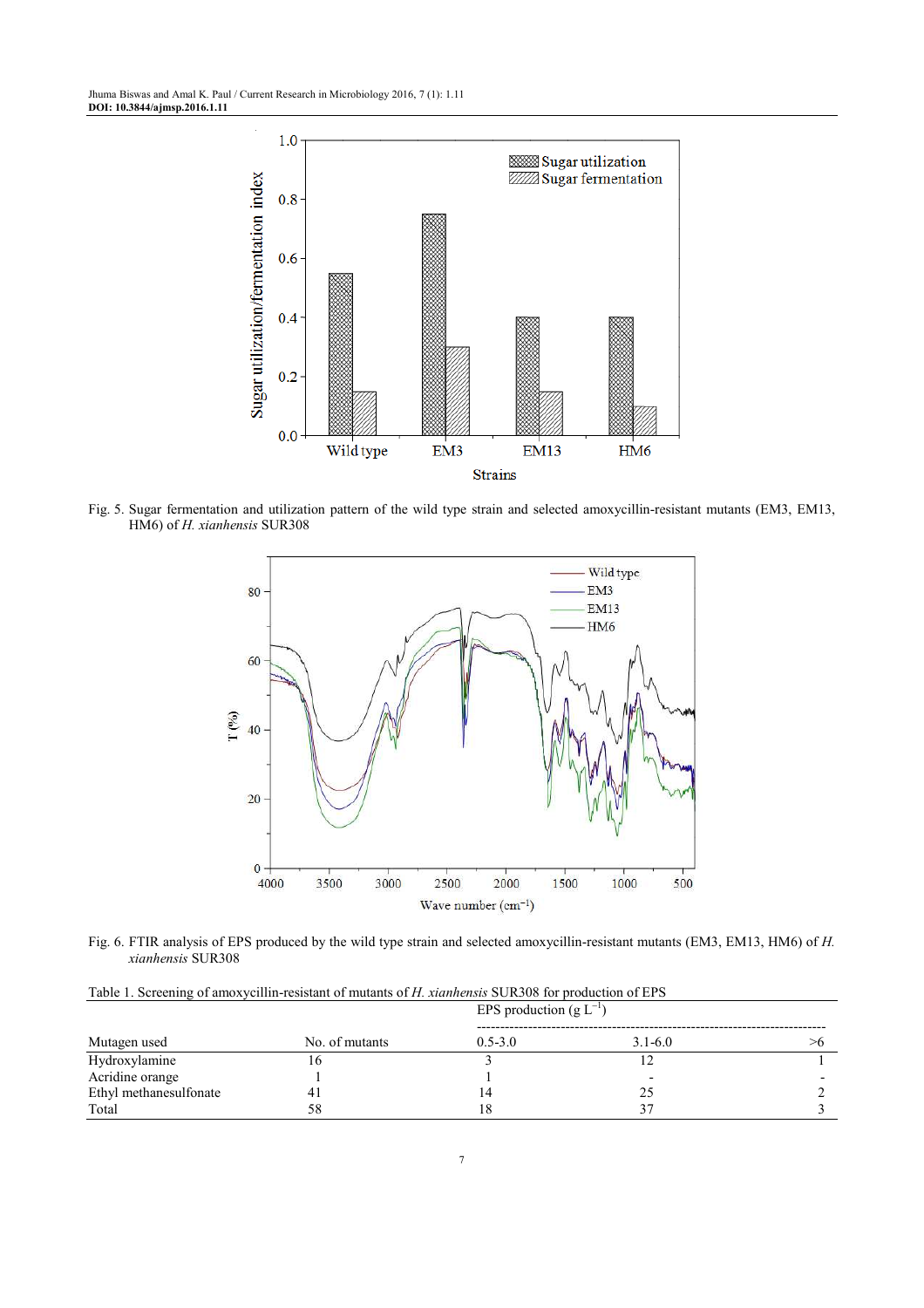Jhuma Biswas and Amal K. Paul / Current Research in Microbiology 2016, 7 (1): 1.11 **DOI: 10.3844/ajmsp.2016.1.11** 



Fig. 5. Sugar fermentation and utilization pattern of the wild type strain and selected amoxycillin-resistant mutants (EM3, EM13, HM6) of *H. xianhensis* SUR308



Fig. 6. FTIR analysis of EPS produced by the wild type strain and selected amoxycillin-resistant mutants (EM3, EM13, HM6) of *H. xianhensis* SUR308

| Table 1. Screening of amoxycillin-resistant of mutants of H. xianhensis SUR308 for production of EPS |  |  |  |  |  |
|------------------------------------------------------------------------------------------------------|--|--|--|--|--|
|------------------------------------------------------------------------------------------------------|--|--|--|--|--|

| Mutagen used           |                |             | EPS production $(g L^{-1})$ |  |  |
|------------------------|----------------|-------------|-----------------------------|--|--|
|                        | No. of mutants | $0.5 - 3.0$ | $3.1 - 6.0$                 |  |  |
| Hydroxylamine          | 10             |             |                             |  |  |
| Acridine orange        |                |             |                             |  |  |
| Ethyl methanesulfonate | 41             | 4           | 25                          |  |  |
| Total                  | 58             |             |                             |  |  |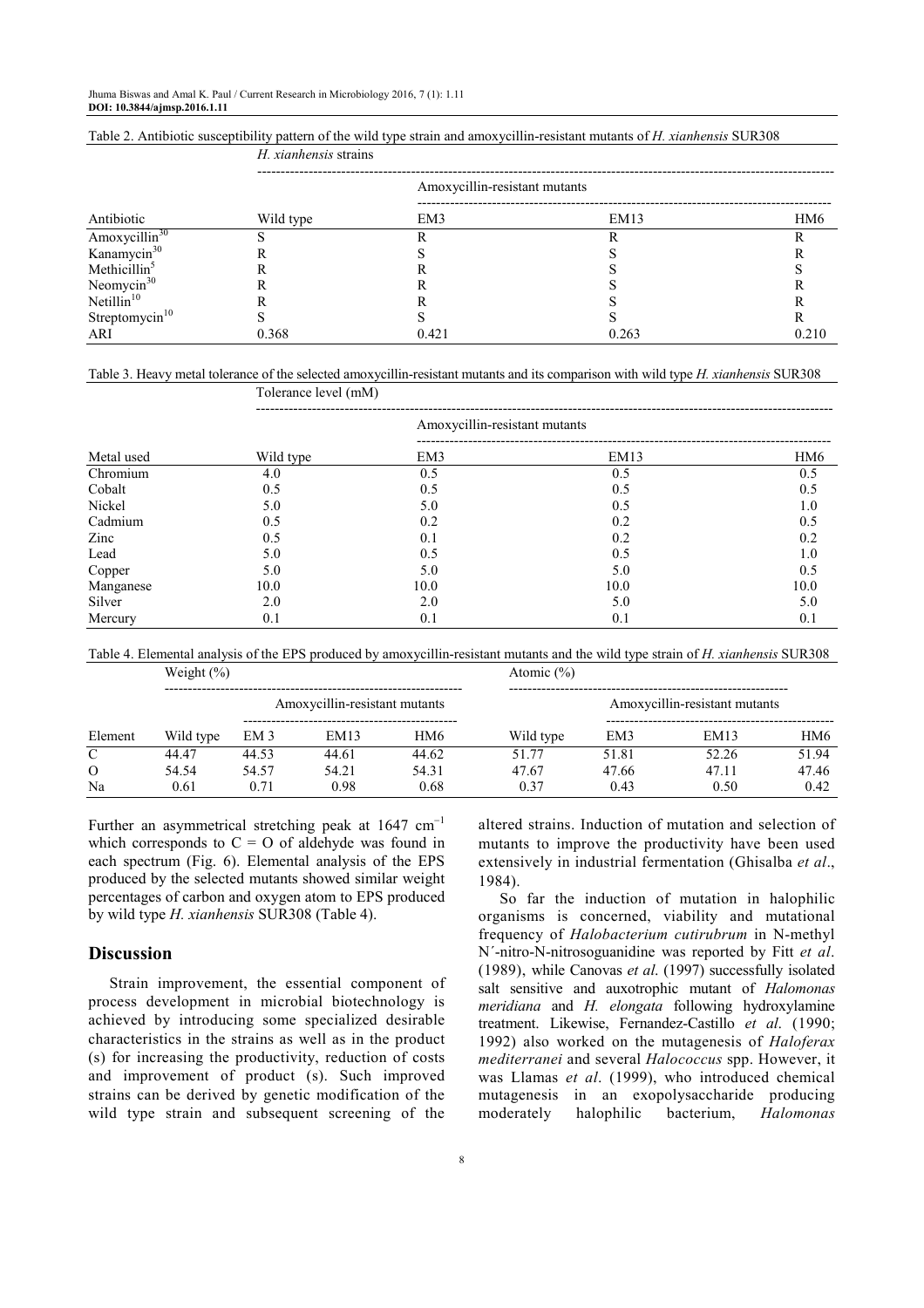*H. xianhensis* strains

Tolerance level (mM)

|  | Table 2. Antibiotic susceptibility pattern of the wild type strain and amoxycillin-resistant mutants of H. xianhensis SUR308 |  |  |  |  |  |  |  |  |  |
|--|------------------------------------------------------------------------------------------------------------------------------|--|--|--|--|--|--|--|--|--|
|--|------------------------------------------------------------------------------------------------------------------------------|--|--|--|--|--|--|--|--|--|

|           | Amoxycillin-resistant mutants |                                 |                 |  |  |  |
|-----------|-------------------------------|---------------------------------|-----------------|--|--|--|
| Wild type | EM3                           | EM13                            | HM <sub>6</sub> |  |  |  |
|           |                               |                                 |                 |  |  |  |
|           |                               |                                 |                 |  |  |  |
|           |                               |                                 |                 |  |  |  |
|           |                               |                                 |                 |  |  |  |
|           |                               |                                 |                 |  |  |  |
|           |                               |                                 |                 |  |  |  |
| 0.368     | 0.421                         | 0.263                           | 0.210           |  |  |  |
|           |                               | 11. <i>Attitudenses</i> strains |                 |  |  |  |

Table 3. Heavy metal tolerance of the selected amoxycillin-resistant mutants and its comparison with wild type *H. xianhensis* SUR308

|            |           | TORRANCE ROLL (THEME)         |      |                 |  |  |  |  |
|------------|-----------|-------------------------------|------|-----------------|--|--|--|--|
| Metal used |           | Amoxycillin-resistant mutants |      |                 |  |  |  |  |
|            | Wild type | EM3                           | EM13 | HM <sub>6</sub> |  |  |  |  |
| Chromium   | 4.0       | 0.5                           | 0.5  | 0.5             |  |  |  |  |
| Cobalt     | 0.5       | 0.5                           | 0.5  | 0.5             |  |  |  |  |
| Nickel     | 5.0       | 5.0                           | 0.5  | 1.0             |  |  |  |  |
| Cadmium    | 0.5       | 0.2                           | 0.2  | 0.5             |  |  |  |  |
| Zinc       | 0.5       | 0.1                           | 0.2  | 0.2             |  |  |  |  |
| Lead       | 5.0       | 0.5                           | 0.5  | 1.0             |  |  |  |  |
| Copper     | 5.0       | 5.0                           | 5.0  | 0.5             |  |  |  |  |
| Manganese  | 10.0      | 10.0                          | 10.0 | 10.0            |  |  |  |  |
| Silver     | 2.0       | 2.0                           | 5.0  | 5.0             |  |  |  |  |
| Mercury    | 0.1       | 0.1                           | 0.1  | 0.1             |  |  |  |  |

Table 4. Elemental analysis of the EPS produced by amoxycillin-resistant mutants and the wild type strain of *H. xianhensis* SUR308

|               | Weight $(\% )$ |                 |                               |       |           | Atomic $(\% )$                |       |       |  |
|---------------|----------------|-----------------|-------------------------------|-------|-----------|-------------------------------|-------|-------|--|
|               |                |                 | Amoxycillin-resistant mutants |       |           | Amoxycillin-resistant mutants |       |       |  |
| Element       | Wild type      | EM <sub>3</sub> | EM13                          | HM6   | Wild type | EM3                           | EM13  | HM6   |  |
| $\mathcal{C}$ | 44.47          | 44.53           | 44.61                         | 44.62 | 51.77     | 51.81                         | 52.26 | 51.94 |  |
| $\Omega$      | 54.54          | 54.57           | 54.21                         | 54.31 | 47.67     | 47.66                         | 47.11 | 47.46 |  |
| Na            | 0.61           | 0.71            | 0.98                          | 0.68  | 0.37      | 0.43                          | 0.50  | 0.42  |  |

Further an asymmetrical stretching peak at  $1647 \text{ cm}^{-1}$ which corresponds to  $C = O$  of aldehyde was found in each spectrum (Fig. 6). Elemental analysis of the EPS produced by the selected mutants showed similar weight percentages of carbon and oxygen atom to EPS produced by wild type *H. xianhensis* SUR308 (Table 4).

# **Discussion**

Strain improvement, the essential component of process development in microbial biotechnology is achieved by introducing some specialized desirable characteristics in the strains as well as in the product (s) for increasing the productivity, reduction of costs and improvement of product (s). Such improved strains can be derived by genetic modification of the wild type strain and subsequent screening of the

altered strains. Induction of mutation and selection of mutants to improve the productivity have been used extensively in industrial fermentation (Ghisalba *et al*., 1984).

So far the induction of mutation in halophilic organisms is concerned, viability and mutational frequency of *Halobacterium cutirubrum* in N-methyl N´-nitro-N-nitrosoguanidine was reported by Fitt *et al*. (1989), while Canovas *et al*. (1997) successfully isolated salt sensitive and auxotrophic mutant of *Halomonas meridiana* and *H. elongata* following hydroxylamine treatment. Likewise, Fernandez-Castillo *et al*. (1990; 1992) also worked on the mutagenesis of *Haloferax mediterranei* and several *Halococcus* spp. However, it was Llamas *et al*. (1999), who introduced chemical mutagenesis in an exopolysaccharide producing moderately halophilic bacterium, *Halomonas*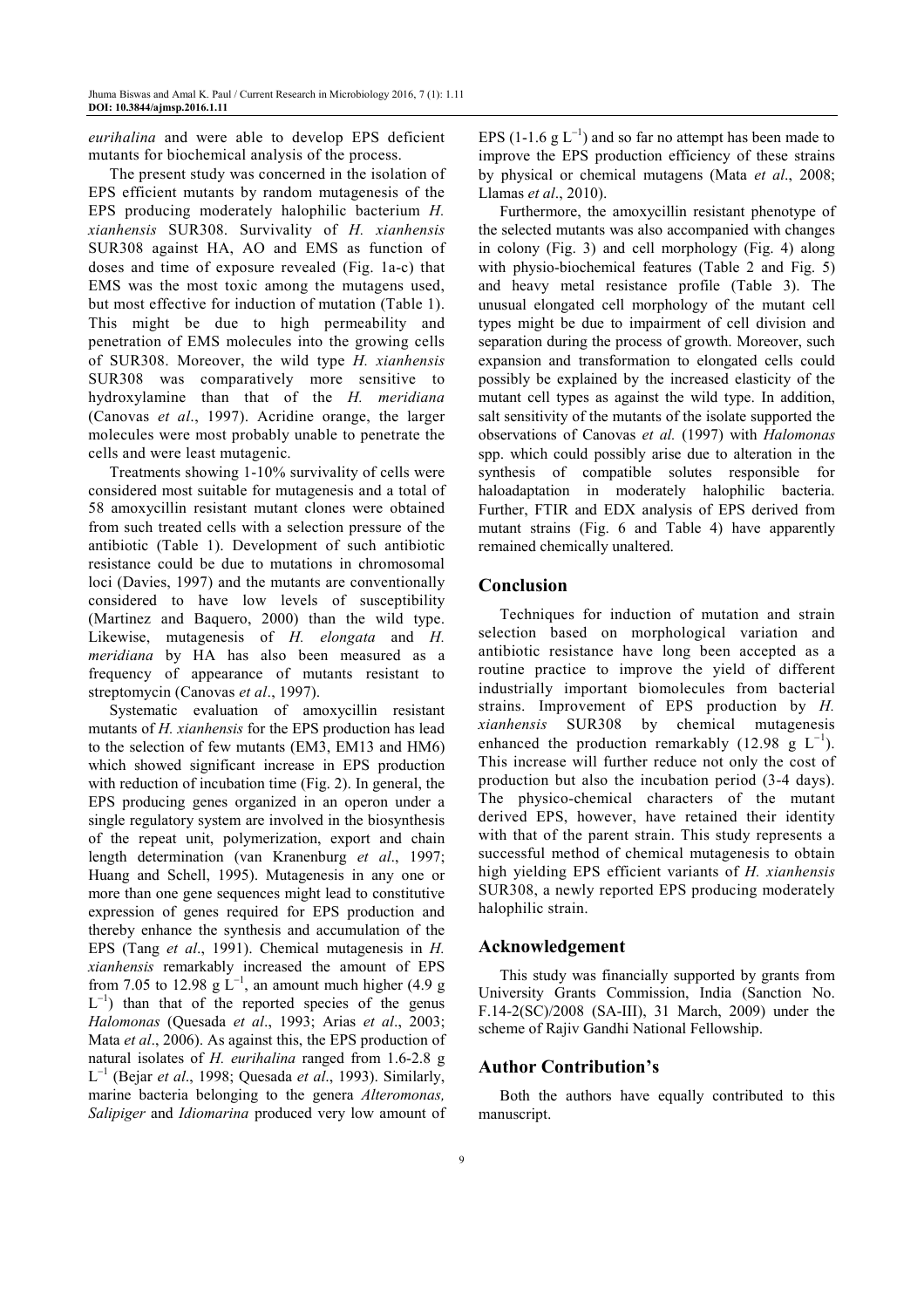*eurihalina* and were able to develop EPS deficient mutants for biochemical analysis of the process.

The present study was concerned in the isolation of EPS efficient mutants by random mutagenesis of the EPS producing moderately halophilic bacterium *H. xianhensis* SUR308. Survivality of *H. xianhensis* SUR308 against HA, AO and EMS as function of doses and time of exposure revealed (Fig. 1a-c) that EMS was the most toxic among the mutagens used, but most effective for induction of mutation (Table 1). This might be due to high permeability and penetration of EMS molecules into the growing cells of SUR308. Moreover, the wild type *H. xianhensis* SUR308 was comparatively more sensitive to hydroxylamine than that of the *H. meridiana* (Canovas *et al*., 1997). Acridine orange, the larger molecules were most probably unable to penetrate the cells and were least mutagenic.

Treatments showing 1-10% survivality of cells were considered most suitable for mutagenesis and a total of 58 amoxycillin resistant mutant clones were obtained from such treated cells with a selection pressure of the antibiotic (Table 1). Development of such antibiotic resistance could be due to mutations in chromosomal loci (Davies, 1997) and the mutants are conventionally considered to have low levels of susceptibility (Martinez and Baquero, 2000) than the wild type. Likewise, mutagenesis of *H. elongata* and *H. meridiana* by HA has also been measured as a frequency of appearance of mutants resistant to streptomycin (Canovas *et al*., 1997).

Systematic evaluation of amoxycillin resistant mutants of *H. xianhensis* for the EPS production has lead to the selection of few mutants (EM3, EM13 and HM6) which showed significant increase in EPS production with reduction of incubation time (Fig. 2). In general, the EPS producing genes organized in an operon under a single regulatory system are involved in the biosynthesis of the repeat unit, polymerization, export and chain length determination (van Kranenburg *et al*., 1997; Huang and Schell, 1995). Mutagenesis in any one or more than one gene sequences might lead to constitutive expression of genes required for EPS production and thereby enhance the synthesis and accumulation of the EPS (Tang *et al*., 1991). Chemical mutagenesis in *H. xianhensis* remarkably increased the amount of EPS from 7.05 to 12.98 g  $\tilde{L}^{-1}$ , an amount much higher (4.9 g  $L^{-1}$ ) than that of the reported species of the genus *Halomonas* (Quesada *et al*., 1993; Arias *et al*., 2003; Mata *et al*., 2006). As against this, the EPS production of natural isolates of *H. eurihalina* ranged from 1.6-2.8 g L −1 (Bejar *et al*., 1998; Quesada *et al*., 1993). Similarly, marine bacteria belonging to the genera *Alteromonas, Salipiger* and *Idiomarina* produced very low amount of

EPS (1-1.6  $g L^{-1}$ ) and so far no attempt has been made to improve the EPS production efficiency of these strains by physical or chemical mutagens (Mata *et al*., 2008; Llamas *et al*., 2010).

Furthermore, the amoxycillin resistant phenotype of the selected mutants was also accompanied with changes in colony (Fig. 3) and cell morphology (Fig. 4) along with physio-biochemical features (Table 2 and Fig. 5) and heavy metal resistance profile (Table 3). The unusual elongated cell morphology of the mutant cell types might be due to impairment of cell division and separation during the process of growth. Moreover, such expansion and transformation to elongated cells could possibly be explained by the increased elasticity of the mutant cell types as against the wild type. In addition, salt sensitivity of the mutants of the isolate supported the observations of Canovas *et al.* (1997) with *Halomonas* spp. which could possibly arise due to alteration in the synthesis of compatible solutes responsible for haloadaptation in moderately halophilic bacteria. Further, FTIR and EDX analysis of EPS derived from mutant strains (Fig. 6 and Table 4) have apparently remained chemically unaltered.

# **Conclusion**

Techniques for induction of mutation and strain selection based on morphological variation and antibiotic resistance have long been accepted as a routine practice to improve the yield of different industrially important biomolecules from bacterial strains. Improvement of EPS production by *H. xianhensis* SUR308 by chemical mutagenesis enhanced the production remarkably (12.98  $\frac{1}{g}$  L<sup>-1</sup>). This increase will further reduce not only the cost of production but also the incubation period (3-4 days). The physico-chemical characters of the mutant derived EPS, however, have retained their identity with that of the parent strain. This study represents a successful method of chemical mutagenesis to obtain high yielding EPS efficient variants of *H. xianhensis* SUR308, a newly reported EPS producing moderately halophilic strain.

# **Acknowledgement**

This study was financially supported by grants from University Grants Commission, India (Sanction No. F.14-2(SC)/2008 (SA-III), 31 March, 2009) under the scheme of Rajiv Gandhi National Fellowship.

# **Author Contribution's**

Both the authors have equally contributed to this manuscript.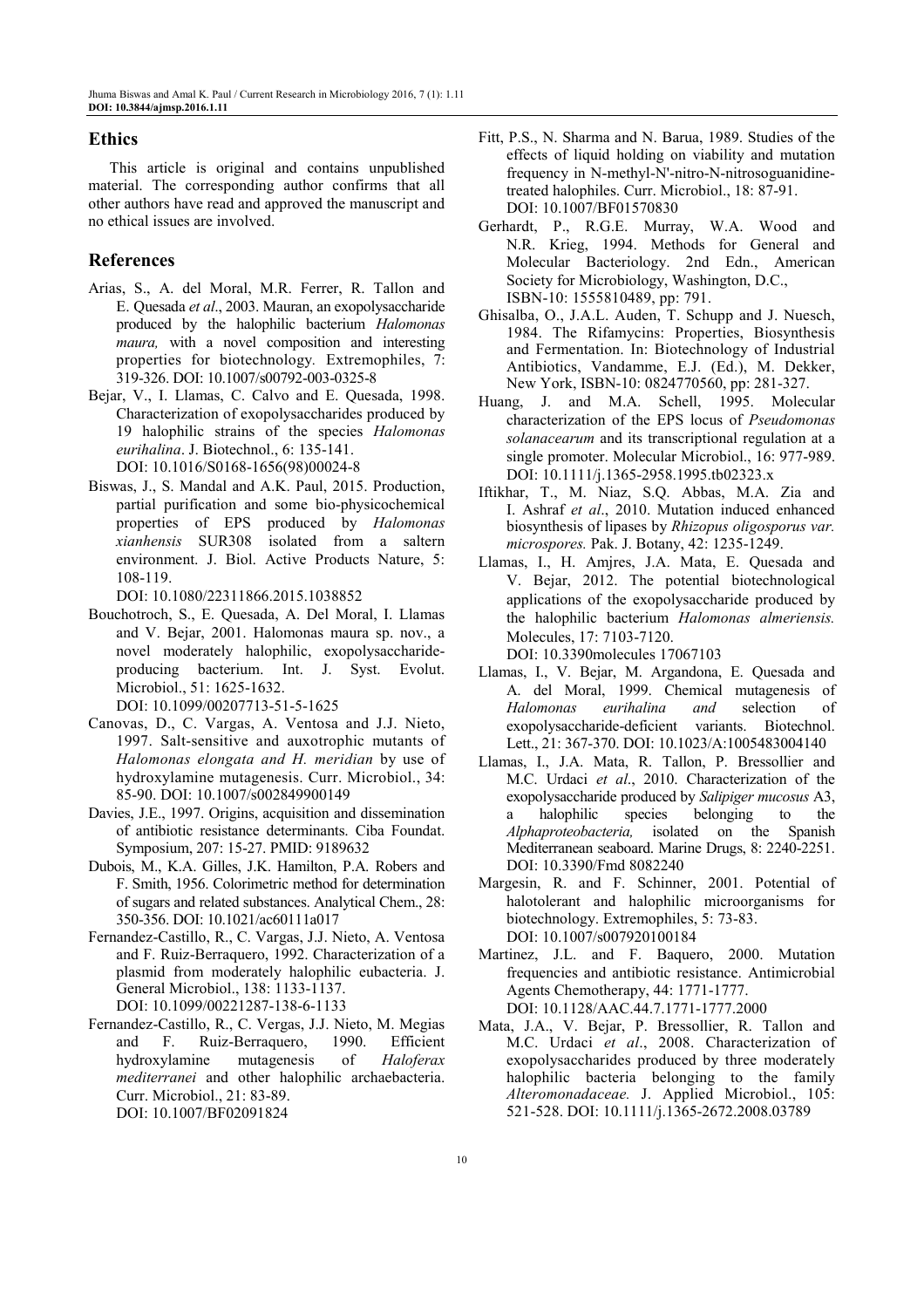#### **Ethics**

This article is original and contains unpublished material. The corresponding author confirms that all other authors have read and approved the manuscript and no ethical issues are involved.

# **References**

- Arias, S., A. del Moral, M.R. Ferrer, R. Tallon and E. Quesada *et al*., 2003. Mauran, an exopolysaccharide produced by the halophilic bacterium *Halomonas maura,* with a novel composition and interesting properties for biotechnology*.* Extremophiles, 7: 319-326. DOI: 10.1007/s00792-003-0325-8
- Bejar, V., I. Llamas, C. Calvo and E. Quesada, 1998. Characterization of exopolysaccharides produced by 19 halophilic strains of the species *Halomonas eurihalina*. J. Biotechnol., 6: 135-141. DOI: 10.1016/S0168-1656(98)00024-8
- Biswas, J., S. Mandal and A.K. Paul, 2015. Production, partial purification and some bio-physicochemical properties of EPS produced by *Halomonas xianhensis* SUR308 isolated from a saltern environment. J. Biol. Active Products Nature, 5: 108-119.

DOI: 10.1080/22311866.2015.1038852

- Bouchotroch, S., E. Quesada, A. Del Moral, I. Llamas and V. Bejar, 2001. Halomonas maura sp. nov., a novel moderately halophilic, exopolysaccharideproducing bacterium. Int. J. Syst. Evolut. Microbiol., 51: 1625-1632. DOI: 10.1099/00207713-51-5-1625
- Canovas, D., C. Vargas, A. Ventosa and J.J. Nieto, 1997. Salt-sensitive and auxotrophic mutants of *Halomonas elongata and H. meridian* by use of hydroxylamine mutagenesis. Curr. Microbiol., 34: 85-90. DOI: 10.1007/s002849900149
- Davies, J.E., 1997. Origins, acquisition and dissemination of antibiotic resistance determinants. Ciba Foundat. Symposium, 207: 15-27. PMID: 9189632
- Dubois, M., K.A. Gilles, J.K. Hamilton, P.A. Robers and F. Smith, 1956. Colorimetric method for determination of sugars and related substances. Analytical Chem., 28: 350-356. DOI: 10.1021/ac60111a017
- Fernandez-Castillo, R., C. Vargas, J.J. Nieto, A. Ventosa and F. Ruiz-Berraquero, 1992. Characterization of a plasmid from moderately halophilic eubacteria. J. General Microbiol., 138: 1133-1137. DOI: 10.1099/00221287-138-6-1133
- Fernandez-Castillo, R., C. Vergas, J.J. Nieto, M. Megias and F. Ruiz-Berraquero, 1990. Efficient hydroxylamine mutagenesis of *Haloferax mediterranei* and other halophilic archaebacteria. Curr. Microbiol., 21: 83-89. DOI: 10.1007/BF02091824
- Fitt, P.S., N. Sharma and N. Barua, 1989. Studies of the effects of liquid holding on viability and mutation frequency in N-methyl-N'-nitro-N-nitrosoguanidinetreated halophiles. Curr. Microbiol., 18: 87-91. DOI: 10.1007/BF01570830
- Gerhardt, P., R.G.E. Murray, W.A. Wood and N.R. Krieg, 1994. Methods for General and Molecular Bacteriology. 2nd Edn., American Society for Microbiology, Washington, D.C., ISBN-10: 1555810489, pp: 791.
- Ghisalba, O., J.A.L. Auden, T. Schupp and J. Nuesch, 1984. The Rifamycins: Properties, Biosynthesis and Fermentation. In: Biotechnology of Industrial Antibiotics, Vandamme, E.J. (Ed.), M. Dekker, New York, ISBN-10: 0824770560, pp: 281-327.
- Huang, J. and M.A. Schell, 1995. Molecular characterization of the EPS locus of *Pseudomonas solanacearum* and its transcriptional regulation at a single promoter. Molecular Microbiol., 16: 977-989. DOI: 10.1111/j.1365-2958.1995.tb02323.x
- Iftikhar, T., M. Niaz, S.Q. Abbas, M.A. Zia and I. Ashraf *et al*., 2010. Mutation induced enhanced biosynthesis of lipases by *Rhizopus oligosporus var. microspores.* Pak. J. Botany, 42: 1235-1249.
- Llamas, I., H. Amjres, J.A. Mata, E. Quesada and V. Bejar, 2012. The potential biotechnological applications of the exopolysaccharide produced by the halophilic bacterium *Halomonas almeriensis.*  Molecules, 17: 7103-7120. DOI: 10.3390molecules 17067103
- Llamas, I., V. Bejar, M. Argandona, E. Quesada and A. del Moral, 1999. Chemical mutagenesis of *Halomonas eurihalina and* selection of exopolysaccharide-deficient variants. Biotechnol. Lett., 21: 367-370. DOI: 10.1023/A:1005483004140
- Llamas, I., J.A. Mata, R. Tallon, P. Bressollier and M.C. Urdaci *et al*., 2010. Characterization of the exopolysaccharide produced by *Salipiger mucosus* A3, a halophilic species belonging to the *Alphaproteobacteria,* isolated on the Spanish Mediterranean seaboard. Marine Drugs, 8: 2240-2251. DOI: 10.3390/Fmd 8082240
- Margesin, R. and F. Schinner, 2001. Potential of halotolerant and halophilic microorganisms for biotechnology. Extremophiles, 5: 73-83. DOI: 10.1007/s007920100184
- Martinez, J.L. and F. Baquero, 2000. Mutation frequencies and antibiotic resistance. Antimicrobial Agents Chemotherapy, 44: 1771-1777. DOI: 10.1128/AAC.44.7.1771-1777.2000
- Mata, J.A., V. Bejar, P. Bressollier, R. Tallon and M.C. Urdaci *et al*., 2008. Characterization of exopolysaccharides produced by three moderately halophilic bacteria belonging to the family *Alteromonadaceae.* J. Applied Microbiol., 105: 521-528. DOI: 10.1111/j.1365-2672.2008.03789